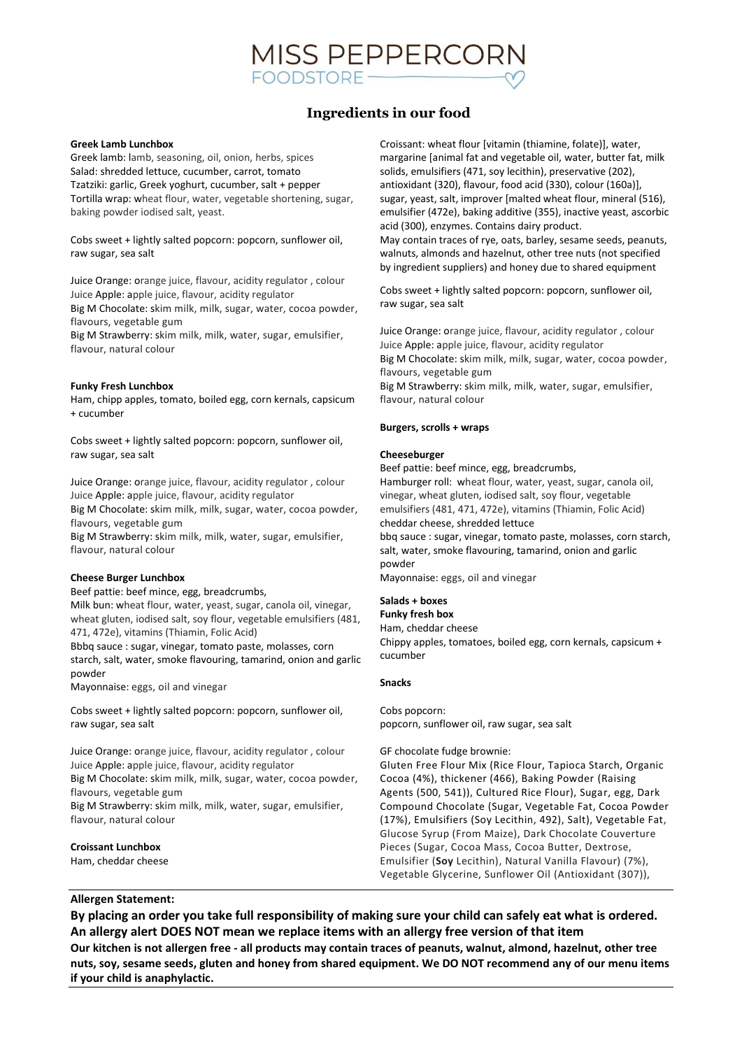

# **Ingredients in our food**

## **Greek Lamb Lunchbox**

Greek lamb: lamb, seasoning, oil, onion, herbs, spices Salad: shredded lettuce, cucumber, carrot, tomato Tzatziki: garlic, Greek yoghurt, cucumber, salt + pepper Tortilla wrap: wheat flour, water, vegetable shortening, sugar, baking powder iodised salt, yeast.

Cobs sweet + lightly salted popcorn: popcorn, sunflower oil, raw sugar, sea salt

Juice Orange: orange juice, flavour, acidity regulator , colour Juice Apple: apple juice, flavour, acidity regulator Big M Chocolate: skim milk, milk, sugar, water, cocoa powder, flavours, vegetable gum

Big M Strawberry: skim milk, milk, water, sugar, emulsifier, flavour, natural colour

## **Funky Fresh Lunchbox**

Ham, chipp apples, tomato, boiled egg, corn kernals, capsicum + cucumber

Cobs sweet + lightly salted popcorn: popcorn, sunflower oil, raw sugar, sea salt

Juice Orange: orange juice, flavour, acidity regulator , colour Juice Apple: apple juice, flavour, acidity regulator Big M Chocolate: skim milk, milk, sugar, water, cocoa powder, flavours, vegetable gum

Big M Strawberry: skim milk, milk, water, sugar, emulsifier, flavour, natural colour

### **Cheese Burger Lunchbox**

Beef pattie: beef mince, egg, breadcrumbs,

Milk bun: wheat flour, water, yeast, sugar, canola oil, vinegar, wheat gluten, iodised salt, soy flour, vegetable emulsifiers (481, 471, 472e), vitamins (Thiamin, Folic Acid)

Bbbq sauce : sugar, vinegar, tomato paste, molasses, corn starch, salt, water, smoke flavouring, tamarind, onion and garlic powder

Mayonnaise: eggs, oil and vinegar

Cobs sweet + lightly salted popcorn: popcorn, sunflower oil, raw sugar, sea salt

Juice Orange: orange juice, flavour, acidity regulator , colour Juice Apple: apple juice, flavour, acidity regulator

Big M Chocolate: skim milk, milk, sugar, water, cocoa powder, flavours, vegetable gum

Big M Strawberry: skim milk, milk, water, sugar, emulsifier, flavour, natural colour

## **Croissant Lunchbox**

Ham, cheddar cheese

Croissant: wheat flour [vitamin (thiamine, folate)], water, margarine [animal fat and vegetable oil, water, butter fat, milk solids, emulsifiers (471, soy lecithin), preservative (202), antioxidant (320), flavour, food acid (330), colour (160a)], sugar, yeast, salt, improver [malted wheat flour, mineral (516), emulsifier (472e), baking additive (355), inactive yeast, ascorbic acid (300), enzymes. Contains dairy product.

May contain traces of rye, oats, barley, sesame seeds, peanuts, walnuts, almonds and hazelnut, other tree nuts (not specified by ingredient suppliers) and honey due to shared equipment

Cobs sweet + lightly salted popcorn: popcorn, sunflower oil, raw sugar, sea salt

Juice Orange: orange juice, flavour, acidity regulator , colour Juice Apple: apple juice, flavour, acidity regulator Big M Chocolate: skim milk, milk, sugar, water, cocoa powder, flavours, vegetable gum Big M Strawberry: skim milk, milk, water, sugar, emulsifier, flavour, natural colour

#### **Burgers, scrolls + wraps**

#### **Cheeseburger**

Beef pattie: beef mince, egg, breadcrumbs, Hamburger roll: wheat flour, water, yeast, sugar, canola oil, vinegar, wheat gluten, iodised salt, soy flour, vegetable emulsifiers (481, 471, 472e), vitamins (Thiamin, Folic Acid) cheddar cheese, shredded lettuce

bbq sauce : sugar, vinegar, tomato paste, molasses, corn starch, salt, water, smoke flavouring, tamarind, onion and garlic powder

Mayonnaise: eggs, oil and vinegar

#### **Salads + boxes**

**Funky fresh box** 

Ham, cheddar cheese

Chippy apples, tomatoes, boiled egg, corn kernals, capsicum + cucumber

#### **Snacks**

Cobs popcorn: popcorn, sunflower oil, raw sugar, sea salt

#### GF chocolate fudge brownie:

Gluten Free Flour Mix (Rice Flour, Tapioca Starch, Organic Cocoa (4%), thickener (466), Baking Powder (Raising Agents (500, 541)), Cultured Rice Flour), Sugar, egg, Dark Compound Chocolate (Sugar, Vegetable Fat, Cocoa Powder (17%), Emulsifiers (Soy Lecithin, 492), Salt), Vegetable Fat, Glucose Syrup (From Maize), Dark Chocolate Couverture Pieces (Sugar, Cocoa Mass, Cocoa Butter, Dextrose, Emulsifier (**Soy** Lecithin), Natural Vanilla Flavour) (7%), Vegetable Glycerine, Sunflower Oil (Antioxidant (307)),

## **Allergen Statement:**

**By placing an order you take full responsibility of making sure your child can safely eat what is ordered. An allergy alert DOES NOT mean we replace items with an allergy free version of that item Our kitchen is not allergen free - all products may contain traces of peanuts, walnut, almond, hazelnut, other tree nuts, soy, sesame seeds, gluten and honey from shared equipment. We DO NOT recommend any of our menu items if your child is anaphylactic.**